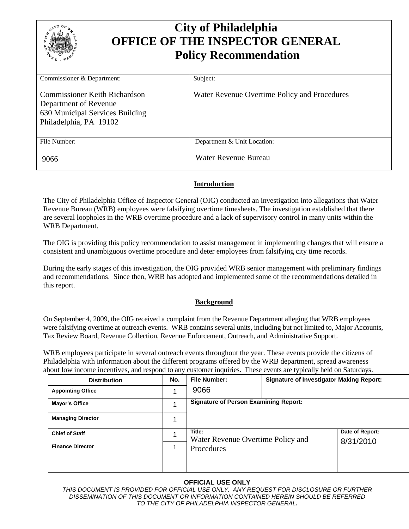| <b>City of Philadelphia</b><br><b>OFFICE OF THE INSPECTOR GENERAL</b><br><b>Policy Recommendation</b>                      |                                              |  |
|----------------------------------------------------------------------------------------------------------------------------|----------------------------------------------|--|
| Commissioner & Department:                                                                                                 | Subject:                                     |  |
| <b>Commissioner Keith Richardson</b><br>Department of Revenue<br>630 Municipal Services Building<br>Philadelphia, PA 19102 | Water Revenue Overtime Policy and Procedures |  |
| File Number:                                                                                                               | Department & Unit Location:                  |  |
| 9066                                                                                                                       | Water Revenue Bureau                         |  |

### **Introduction**

The City of Philadelphia Office of Inspector General (OIG) conducted an investigation into allegations that Water Revenue Bureau (WRB) employees were falsifying overtime timesheets. The investigation established that there are several loopholes in the WRB overtime procedure and a lack of supervisory control in many units within the WRB Department.

The OIG is providing this policy recommendation to assist management in implementing changes that will ensure a consistent and unambiguous overtime procedure and deter employees from falsifying city time records.

During the early stages of this investigation, the OIG provided WRB senior management with preliminary findings and recommendations. Since then, WRB has adopted and implemented some of the recommendations detailed in this report.

#### **Background**

On September 4, 2009, the OIG received a complaint from the Revenue Department alleging that WRB employees were falsifying overtime at outreach events. WRB contains several units, including but not limited to, Major Accounts, Tax Review Board, Revenue Collection, Revenue Enforcement, Outreach, and Administrative Support.

WRB employees participate in several outreach events throughout the year. These events provide the citizens of Philadelphia with information about the different programs offered by the WRB department, spread awareness about low income incentives, and respond to any customer inquiries. These events are typically held on Saturdays.

| <b>Distribution</b>      | No. | <b>File Number:</b>                          | <b>Signature of Investigator Making Report:</b> |  |
|--------------------------|-----|----------------------------------------------|-------------------------------------------------|--|
| <b>Appointing Office</b> |     | 9066                                         |                                                 |  |
| Mayor's Office           |     | <b>Signature of Person Examining Report:</b> |                                                 |  |
| <b>Managing Director</b> |     |                                              |                                                 |  |
| <b>Chief of Staff</b>    |     | Title:<br>Water Revenue Overtime Policy and  | Date of Report:                                 |  |
| <b>Finance Director</b>  |     | Procedures                                   | 8/31/2010                                       |  |

### **OFFICIAL USE ONLY**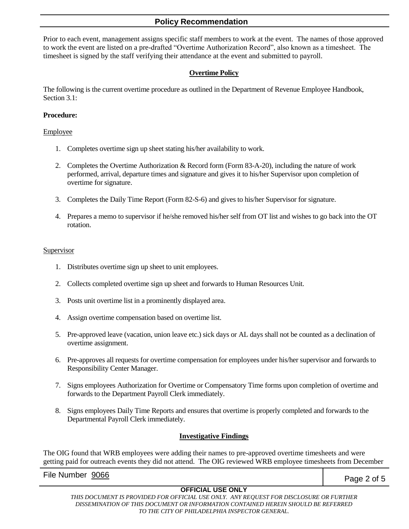Prior to each event, management assigns specific staff members to work at the event. The names of those approved to work the event are listed on a pre-drafted "Overtime Authorization Record", also known as a timesheet. The timesheet is signed by the staff verifying their attendance at the event and submitted to payroll.

### **Overtime Policy**

The following is the current overtime procedure as outlined in the Department of Revenue Employee Handbook, Section 3.1:

### **Procedure:**

#### Employee

- 1. Completes overtime sign up sheet stating his/her availability to work.
- 2. Completes the Overtime Authorization & Record form (Form 83-A-20), including the nature of work performed, arrival, departure times and signature and gives it to his/her Supervisor upon completion of overtime for signature.
- 3. Completes the Daily Time Report (Form 82-S-6) and gives to his/her Supervisor for signature.
- 4. Prepares a memo to supervisor if he/she removed his/her self from OT list and wishes to go back into the OT rotation.

#### Supervisor

- 1. Distributes overtime sign up sheet to unit employees.
- 2. Collects completed overtime sign up sheet and forwards to Human Resources Unit.
- 3. Posts unit overtime list in a prominently displayed area.
- 4. Assign overtime compensation based on overtime list.
- 5. Pre-approved leave (vacation, union leave etc.) sick days or AL days shall not be counted as a declination of overtime assignment.
- 6. Pre-approves all requests for overtime compensation for employees under his/her supervisor and forwards to Responsibility Center Manager.
- 7. Signs employees Authorization for Overtime or Compensatory Time forms upon completion of overtime and forwards to the Department Payroll Clerk immediately.
- 8. Signs employees Daily Time Reports and ensures that overtime is properly completed and forwards to the Departmental Payroll Clerk immediately.

### **Investigative Findings**

The OIG found that WRB employees were adding their names to pre-approved overtime timesheets and were getting paid for outreach events they did not attend. The OIG reviewed WRB employee timesheets from December

File Number  $\frac{9066}{5}$ 

## **OFFICIAL USE ONLY**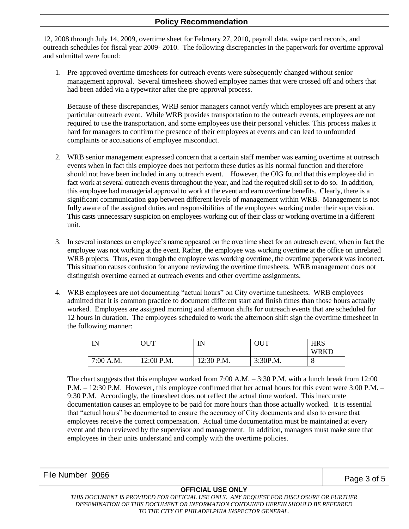12, 2008 through July 14, 2009, overtime sheet for February 27, 2010, payroll data, swipe card records, and outreach schedules for fiscal year 2009- 2010. The following discrepancies in the paperwork for overtime approval and submittal were found:

1. Pre-approved overtime timesheets for outreach events were subsequently changed without senior management approval. Several timesheets showed employee names that were crossed off and others that had been added via a typewriter after the pre-approval process.

Because of these discrepancies, WRB senior managers cannot verify which employees are present at any particular outreach event. While WRB provides transportation to the outreach events, employees are not required to use the transportation, and some employees use their personal vehicles. This process makes it hard for managers to confirm the presence of their employees at events and can lead to unfounded complaints or accusations of employee misconduct.

- 2. WRB senior management expressed concern that a certain staff member was earning overtime at outreach events when in fact this employee does not perform these duties as his normal function and therefore should not have been included in any outreach event. However, the OIG found that this employee did in fact work at several outreach events throughout the year, and had the required skill set to do so. In addition, this employee had managerial approval to work at the event and earn overtime benefits. Clearly, there is a significant communication gap between different levels of management within WRB. Management is not fully aware of the assigned duties and responsibilities of the employees working under their supervision. This casts unnecessary suspicion on employees working out of their class or working overtime in a different unit.
- 3. In several instances an employee's name appeared on the overtime sheet for an outreach event, when in fact the employee was not working at the event. Rather, the employee was working overtime at the office on unrelated WRB projects. Thus, even though the employee was working overtime, the overtime paperwork was incorrect. This situation causes confusion for anyone reviewing the overtime timesheets. WRB management does not distinguish overtime earned at outreach events and other overtime assignments.
- 4. WRB employees are not documenting "actual hours" on City overtime timesheets. WRB employees admitted that it is common practice to document different start and finish times than those hours actually worked. Employees are assigned morning and afternoon shifts for outreach events that are scheduled for 12 hours in duration. The employees scheduled to work the afternoon shift sign the overtime timesheet in the following manner:

| <b>IN</b><br> | OUT        | IN<br>       | OUT      | <b>HRS</b>  |
|---------------|------------|--------------|----------|-------------|
|               |            |              |          | <b>WRKD</b> |
| 7:00 A.M.     | 12:00 P.M. | $12:30$ P.M. | 3:30P.M. | O           |

The chart suggests that this employee worked from 7:00 A.M. – 3:30 P.M. with a lunch break from 12:00 P.M. – 12:30 P.M. However, this employee confirmed that her actual hours for this event were 3:00 P.M. – 9:30 P.M. Accordingly, the timesheet does not reflect the actual time worked. This inaccurate documentation causes an employee to be paid for more hours than those actually worked. It is essential that "actual hours" be documented to ensure the accuracy of City documents and also to ensure that employees receive the correct compensation. Actual time documentation must be maintained at every event and then reviewed by the supervisor and management. In addition, managers must make sure that employees in their units understand and comply with the overtime policies.

| File Number 9066 | Page 3 of 5 |
|------------------|-------------|
|                  |             |

### **OFFICIAL USE ONLY**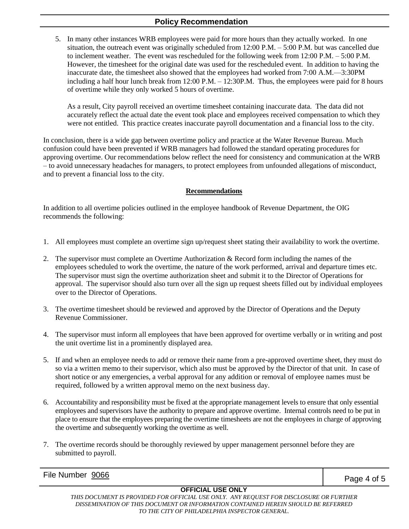5. In many other instances WRB employees were paid for more hours than they actually worked. In one situation, the outreach event was originally scheduled from 12:00 P.M. – 5:00 P.M. but was cancelled due to inclement weather. The event was rescheduled for the following week from 12:00 P.M. – 5:00 P.M. However, the timesheet for the original date was used for the rescheduled event. In addition to having the inaccurate date, the timesheet also showed that the employees had worked from 7:00 A.M.—3:30PM including a half hour lunch break from 12:00 P.M. – 12:30P.M. Thus, the employees were paid for 8 hours of overtime while they only worked 5 hours of overtime.

As a result, City payroll received an overtime timesheet containing inaccurate data. The data did not accurately reflect the actual date the event took place and employees received compensation to which they were not entitled. This practice creates inaccurate payroll documentation and a financial loss to the city.

In conclusion, there is a wide gap between overtime policy and practice at the Water Revenue Bureau. Much confusion could have been prevented if WRB managers had followed the standard operating procedures for approving overtime. Our recommendations below reflect the need for consistency and communication at the WRB – to avoid unnecessary headaches for managers, to protect employees from unfounded allegations of misconduct, and to prevent a financial loss to the city.

#### **Recommendations**

In addition to all overtime policies outlined in the employee handbook of Revenue Department, the OIG recommends the following:

- 1. All employees must complete an overtime sign up/request sheet stating their availability to work the overtime.
- 2. The supervisor must complete an Overtime Authorization & Record form including the names of the employees scheduled to work the overtime, the nature of the work performed, arrival and departure times etc. The supervisor must sign the overtime authorization sheet and submit it to the Director of Operations for approval. The supervisor should also turn over all the sign up request sheets filled out by individual employees over to the Director of Operations.
- 3. The overtime timesheet should be reviewed and approved by the Director of Operations and the Deputy Revenue Commissioner.
- 4. The supervisor must inform all employees that have been approved for overtime verbally or in writing and post the unit overtime list in a prominently displayed area.
- 5. If and when an employee needs to add or remove their name from a pre-approved overtime sheet, they must do so via a written memo to their supervisor, which also must be approved by the Director of that unit. In case of short notice or any emergencies, a verbal approval for any addition or removal of employee names must be required, followed by a written approval memo on the next business day.
- 6. Accountability and responsibility must be fixed at the appropriate management levels to ensure that only essential employees and supervisors have the authority to prepare and approve overtime. Internal controls need to be put in place to ensure that the employees preparing the overtime timesheets are not the employees in charge of approving the overtime and subsequently working the overtime as well.
- 7. The overtime records should be thoroughly reviewed by upper management personnel before they are submitted to payroll.

File Number  $\frac{9066}{5}$ 

### **OFFICIAL USE ONLY**